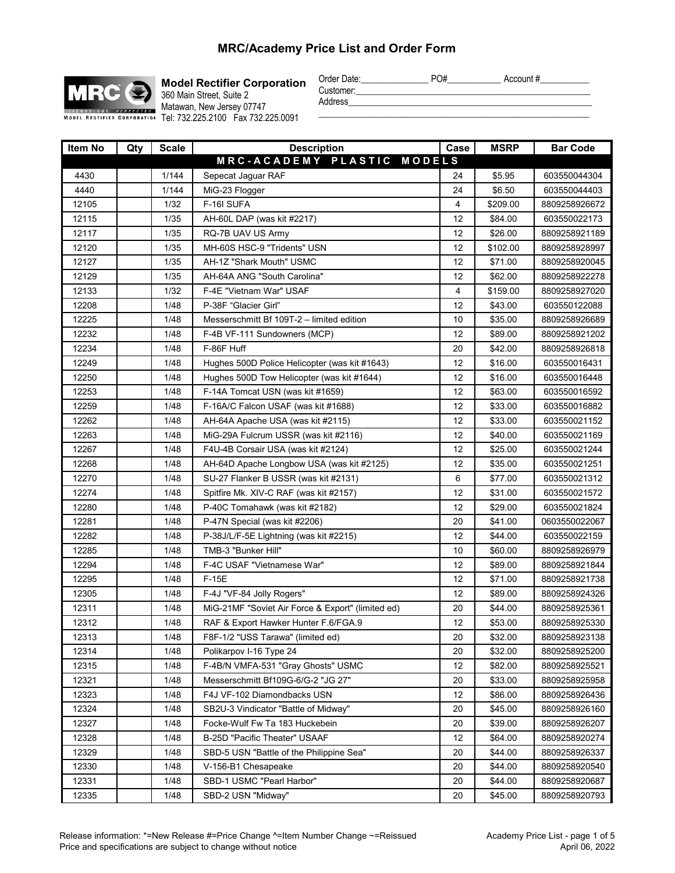

**Model Rectifier Corporation** 360 Main Street, Suite 2 Matawan, New Jersey 07747 MODEL RECTIFIER CORPORATION Tel: 732.225.2100 Fax 732.225.0091

| Order Date: | PO# | Account # |
|-------------|-----|-----------|
| Customer:   |     |           |
| Address     |     |           |

Address\_\_\_\_\_\_\_\_\_\_\_\_\_\_\_\_\_\_\_\_\_\_\_\_\_\_\_\_\_\_\_\_\_\_\_\_\_\_\_\_\_\_\_\_\_\_\_\_\_\_\_\_\_\_ \_\_\_\_\_\_\_\_\_\_\_\_\_\_\_\_\_\_\_\_\_\_\_\_\_\_\_\_\_\_\_\_\_\_\_\_\_\_\_\_\_\_\_\_\_\_\_\_\_\_\_\_\_\_\_\_\_\_\_\_

 **Item No Qty Scale Description Case MSRP Bar Code** 4430 | 1/144 Sepecat Jaguar RAF | 24 | \$5.95 603550044304 4440 | 1/144 | MiG-23 Flogger 24 | 24 | \$6.50 | 603550044403 12105 1/32 F-16I SUFA 4 \$209.00 8809258926672 12115 1/35 AH-60L DAP (was kit #2217) 12 12 384.00 603550022173 12117 | 1/35 | RQ-7B UAV US Army 12 | 12 | \$26.00 | 8809258921189 12120 **1 1/35 MH-60S HSC-9 "Tridents" USN 12 12 12 1** \$102.00 8809258928997 12127 | 1/35 | AH-1Z "Shark Mouth" USMC | 12 | \$71.00 | 8809258920045 12129 | 1/35 | AH-64A ANG "South Carolina" | 12 | \$62.00 | 8809258922278 12133 1/32 F-4E "Vietnam War" USAF 4 \$159.00 8809258927020 12208 1/48 P-38F "Glacier Girl" 12 12 \$43.00 603550122088 12225 1/48 Messerschmitt Bf 109T-2 – limited edition 10 \$35.00 8809258926689 12232 1/48 F-4B VF-111 Sundowners (MCP) 12 12 \$89.00 8809258921202 12234 1/48 F-86F Huff 20 \$42.00 8809258926818 12249 **128 1248 Hughes 500D Police Helicopter (was kit #1643)** 12 \$16.00 603550016431 12250 1/48 Hughes 500D Tow Helicopter (was kit #1644) 12 \$16.00 603550016448 12253 1/48 F-14A Tomcat USN (was kit #1659) 12 \$63.00 603550016592 12259 1/48 F-16A/C Falcon USAF (was kit #1688) 12 \$33.00 603550016882 12262 1/48 AH-64A Apache USA (was kit #2115) 12 \$33.00 603550021152 12263 1/48 MiG-29A Fulcrum USSR (was kit #2116) 12 \$40.00 603550021169 12267 1/48 F4U-4B Corsair USA (was kit #2124) 12 \$25.00 603550021244 12268 1/48 AH-64D Apache Longbow USA (was kit #2125) 12 \$35.00 603550021251 12270 | 1/48 | SU-27 Flanker B USSR (was kit #2131) 6 | \$77.00 | 603550021312 12274 | | 1/48 | Spitfire Mk. XIV-C RAF (was kit #2157) | 12 | \$31.00 | 603550021572 12280 1/48 P-40C Tomahawk (was kit #2182) 12 \$29.00 603550021824 12281 1/48 P-47N Special (was kit #2206) 20 \$41.00 0603550022067 12282 12282 1/48 P-38J/L/F-5E Lightning (was kit #2215) 12 | \$44.00 603550022159 12285 | 1/48 | TMB-3 "Bunker Hill" | 10 | \$60.00 | 8809258926979 12294 | 1/48 | F-4C USAF "Vietnamese War" | 12 | \$89.00 | 8809258921844 12295 | 1/48 | F-15E | 12 | \$71.00 | 8809258921738 12305 1/48 F-4J "VF-84 Jolly Rogers" 12 12 \$89.00 8809258924326 12311 | 1/48 | MiG-21MF "Soviet Air Force & Export" (limited ed) | 20 | \$44.00 | 8809258925361 12312 1/48 RAF & Export Hawker Hunter F.6/FGA.9 12 \$53.00 8809258925330 12313 1/48 F8F-1/2 "USS Tarawa" (limited ed) 20 \$32.00 8809258923138 12314 | 1/48 | Polikarpov I-16 Type 24 | 20 | \$32.00 | 8809258925200 12315 1/48 F-4B/N VMFA-531 "Gray Ghosts" USMC 12 | \$82.00 8809258925521 12321 | 1/48 | Messerschmitt Bf109G-6/G-2 "JG 27" | 20 | \$33.00 | 8809258925958 12323 12323 1/48 F4J VF-102 Diamondbacks USN 12 12 \$86.00 8809258926436 12324 1/48 SB2U-3 Vindicator "Battle of Midway" 20 \$45.00 8809258926160 12327 | 1/48 | Focke-Wulf Fw Ta 183 Huckebein | 20 | \$39.00 | 8809258926207 12328 1/48 B-25D "Pacific Theater" USAAF 12 \$64.00 8809258920274 12329 1/48 SBD-5 USN "Battle of the Philippine Sea" 120 \$44.00 8809258926337 12330 1/48 V-156-B1 Chesapeake 20 344.00 8809258920540 12331 | 1/48 | SBD-1 USMC "Pearl Harbor" | 20 | \$44.00 | 8809258920687 12335 | 1/48 | SBD-2 USN "Midway" | 20 | \$45.00 | 8809258920793 **M R C - A C A D E M Y P L A S T I C M O D E L S**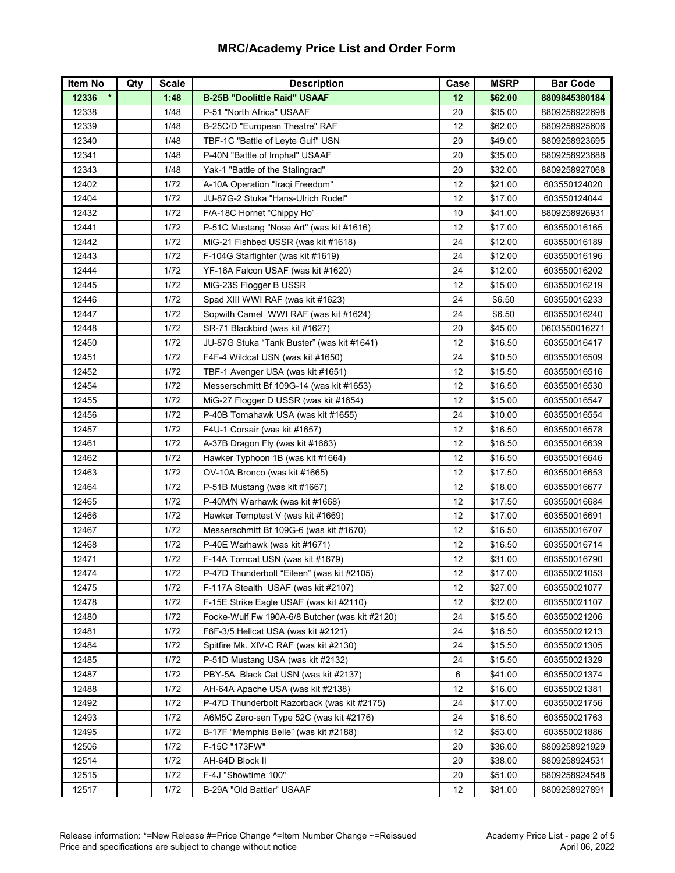| Item No | Qty | <b>Scale</b> | <b>Description</b>                             | Case | <b>MSRP</b> | <b>Bar Code</b> |
|---------|-----|--------------|------------------------------------------------|------|-------------|-----------------|
| 12336   |     | 1:48         | <b>B-25B "Doolittle Raid" USAAF</b>            | 12   | \$62.00     | 8809845380184   |
| 12338   |     | 1/48         | P-51 "North Africa" USAAF                      | 20   | \$35.00     | 8809258922698   |
| 12339   |     | 1/48         | B-25C/D "European Theatre" RAF                 | 12   | \$62.00     | 8809258925606   |
| 12340   |     | 1/48         | TBF-1C "Battle of Leyte Gulf" USN              | 20   | \$49.00     | 8809258923695   |
| 12341   |     | 1/48         | P-40N "Battle of Imphal" USAAF                 | 20   | \$35.00     | 8809258923688   |
| 12343   |     | 1/48         | Yak-1 "Battle of the Stalingrad"               | 20   | \$32.00     | 8809258927068   |
| 12402   |     | 1/72         | A-10A Operation "Iraqi Freedom"                | 12   | \$21.00     | 603550124020    |
| 12404   |     | 1/72         | JU-87G-2 Stuka "Hans-Ulrich Rudel"             | 12   | \$17.00     | 603550124044    |
| 12432   |     | 1/72         | F/A-18C Hornet "Chippy Ho"                     | 10   | \$41.00     | 8809258926931   |
| 12441   |     | 1/72         | P-51C Mustang "Nose Art" (was kit #1616)       | 12   | \$17.00     | 603550016165    |
| 12442   |     | 1/72         | MiG-21 Fishbed USSR (was kit #1618)            | 24   | \$12.00     | 603550016189    |
| 12443   |     | 1/72         | F-104G Starfighter (was kit #1619)             | 24   | \$12.00     | 603550016196    |
| 12444   |     | 1/72         | YF-16A Falcon USAF (was kit #1620)             | 24   | \$12.00     | 603550016202    |
| 12445   |     | 1/72         | MiG-23S Flogger B USSR                         | 12   | \$15.00     | 603550016219    |
| 12446   |     | 1/72         | Spad XIII WWI RAF (was kit #1623)              | 24   | \$6.50      | 603550016233    |
| 12447   |     | 1/72         | Sopwith Camel WWI RAF (was kit #1624)          | 24   | \$6.50      | 603550016240    |
| 12448   |     | 1/72         | SR-71 Blackbird (was kit #1627)                | 20   | \$45.00     | 0603550016271   |
| 12450   |     | 1/72         | JU-87G Stuka "Tank Buster" (was kit #1641)     | 12   | \$16.50     | 603550016417    |
| 12451   |     | 1/72         | F4F-4 Wildcat USN (was kit #1650)              | 24   | \$10.50     | 603550016509    |
| 12452   |     | 1/72         | TBF-1 Avenger USA (was kit #1651)              | 12   | \$15.50     | 603550016516    |
| 12454   |     | 1/72         | Messerschmitt Bf 109G-14 (was kit #1653)       | 12   | \$16.50     | 603550016530    |
| 12455   |     | 1/72         | MiG-27 Flogger D USSR (was kit #1654)          | 12   | \$15.00     | 603550016547    |
| 12456   |     | 1/72         | P-40B Tomahawk USA (was kit #1655)             | 24   | \$10.00     | 603550016554    |
| 12457   |     | 1/72         | F4U-1 Corsair (was kit #1657)                  | 12   | \$16.50     | 603550016578    |
| 12461   |     | 1/72         | A-37B Dragon Fly (was kit #1663)               | 12   | \$16.50     | 603550016639    |
| 12462   |     | 1/72         | Hawker Typhoon 1B (was kit #1664)              | 12   | \$16.50     | 603550016646    |
| 12463   |     | 1/72         | OV-10A Bronco (was kit #1665)                  | 12   | \$17.50     | 603550016653    |
| 12464   |     | 1/72         | P-51B Mustang (was kit #1667)                  | 12   | \$18.00     | 603550016677    |
| 12465   |     | 1/72         | P-40M/N Warhawk (was kit #1668)                | 12   | \$17.50     | 603550016684    |
| 12466   |     | 1/72         | Hawker Temptest V (was kit #1669)              | 12   | \$17.00     | 603550016691    |
| 12467   |     | 1/72         | Messerschmitt Bf 109G-6 (was kit #1670)        | 12   | \$16.50     | 603550016707    |
| 12468   |     | 1/72         | P-40E Warhawk (was kit #1671)                  | 12   | \$16.50     | 603550016714    |
| 12471   |     | 1/72         | F-14A Tomcat USN (was kit #1679)               | 12   | \$31.00     | 603550016790    |
| 12474   |     | 1/72         | P-47D Thunderbolt "Eileen" (was kit #2105)     | 12   | \$17.00     | 603550021053    |
| 12475   |     | 1/72         | F-117A Stealth USAF (was kit #2107)            | 12   | \$27.00     | 603550021077    |
| 12478   |     | 1/72         | F-15E Strike Eagle USAF (was kit #2110)        | 12   | \$32.00     | 603550021107    |
| 12480   |     | 1/72         | Focke-Wulf Fw 190A-6/8 Butcher (was kit #2120) | 24   | \$15.50     | 603550021206    |
| 12481   |     | 1/72         | F6F-3/5 Hellcat USA (was kit #2121)            | 24   | \$16.50     | 603550021213    |
| 12484   |     | 1/72         | Spitfire Mk. XIV-C RAF (was kit #2130)         | 24   | \$15.50     | 603550021305    |
| 12485   |     | 1/72         | P-51D Mustang USA (was kit #2132)              | 24   | \$15.50     | 603550021329    |
| 12487   |     | 1/72         | PBY-5A Black Cat USN (was kit #2137)           | 6    | \$41.00     | 603550021374    |
| 12488   |     | 1/72         | AH-64A Apache USA (was kit #2138)              | 12   | \$16.00     | 603550021381    |
| 12492   |     | 1/72         | P-47D Thunderbolt Razorback (was kit #2175)    | 24   | \$17.00     | 603550021756    |
| 12493   |     | 1/72         | A6M5C Zero-sen Type 52C (was kit #2176)        | 24   | \$16.50     | 603550021763    |
| 12495   |     | 1/72         | B-17F "Memphis Belle" (was kit #2188)          | 12   | \$53.00     | 603550021886    |
| 12506   |     | 1/72         | F-15C "173FW"                                  | 20   | \$36.00     | 8809258921929   |
| 12514   |     | 1/72         | AH-64D Block II                                | 20   | \$38.00     | 8809258924531   |
| 12515   |     | 1/72         | F-4J "Showtime 100"                            | 20   | \$51.00     | 8809258924548   |
| 12517   |     | 1/72         | B-29A "Old Battler" USAAF                      | 12   | \$81.00     | 8809258927891   |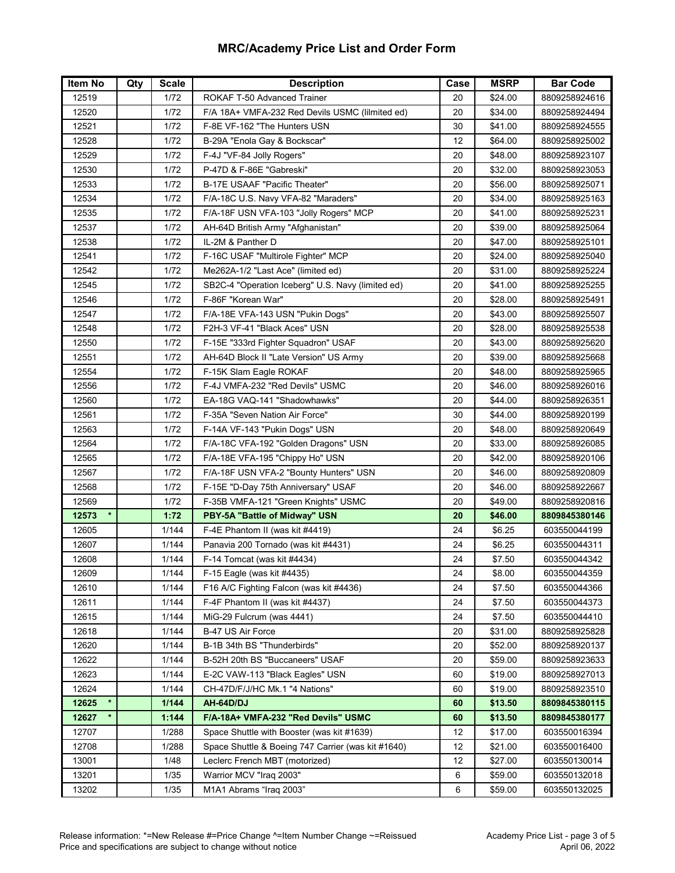| <b>Item No</b> | Qty | <b>Scale</b> | <b>Description</b>                                 | Case | <b>MSRP</b> | <b>Bar Code</b> |
|----------------|-----|--------------|----------------------------------------------------|------|-------------|-----------------|
| 12519          |     | 1/72         | <b>ROKAF T-50 Advanced Trainer</b>                 | 20   | \$24.00     | 8809258924616   |
| 12520          |     | 1/72         | F/A 18A+ VMFA-232 Red Devils USMC (lilmited ed)    | 20   | \$34.00     | 8809258924494   |
| 12521          |     | 1/72         | F-8E VF-162 "The Hunters USN                       | 30   | \$41.00     | 8809258924555   |
| 12528          |     | 1/72         | B-29A "Enola Gay & Bockscar"                       | 12   | \$64.00     | 8809258925002   |
| 12529          |     | 1/72         | F-4J "VF-84 Jolly Rogers"                          | 20   | \$48.00     | 8809258923107   |
| 12530          |     | 1/72         | P-47D & F-86E "Gabreski"                           | 20   | \$32.00     | 8809258923053   |
| 12533          |     | 1/72         | B-17E USAAF "Pacific Theater"                      | 20   | \$56.00     | 8809258925071   |
| 12534          |     | 1/72         | F/A-18C U.S. Navy VFA-82 "Maraders"                | 20   | \$34.00     | 8809258925163   |
| 12535          |     | 1/72         | F/A-18F USN VFA-103 "Jolly Rogers" MCP             | 20   | \$41.00     | 8809258925231   |
| 12537          |     | 1/72         | AH-64D British Army "Afghanistan"                  | 20   | \$39.00     | 8809258925064   |
| 12538          |     | 1/72         | IL-2M & Panther D                                  | 20   | \$47.00     | 8809258925101   |
| 12541          |     | 1/72         | F-16C USAF "Multirole Fighter" MCP                 | 20   | \$24.00     | 8809258925040   |
| 12542          |     | 1/72         | Me262A-1/2 "Last Ace" (limited ed)                 | 20   | \$31.00     | 8809258925224   |
| 12545          |     | 1/72         | SB2C-4 "Operation Iceberg" U.S. Navy (limited ed)  | 20   | \$41.00     | 8809258925255   |
| 12546          |     | 1/72         | F-86F "Korean War"                                 | 20   | \$28.00     | 8809258925491   |
| 12547          |     | 1/72         | F/A-18E VFA-143 USN "Pukin Dogs"                   | 20   | \$43.00     | 8809258925507   |
| 12548          |     | 1/72         | F2H-3 VF-41 "Black Aces" USN                       | 20   | \$28.00     | 8809258925538   |
| 12550          |     | 1/72         | F-15E "333rd Fighter Squadron" USAF                | 20   | \$43.00     | 8809258925620   |
| 12551          |     | 1/72         | AH-64D Block II "Late Version" US Army             | 20   | \$39.00     | 8809258925668   |
| 12554          |     | 1/72         | F-15K Slam Eagle ROKAF                             | 20   | \$48.00     | 8809258925965   |
| 12556          |     | 1/72         | F-4J VMFA-232 "Red Devils" USMC                    | 20   | \$46.00     | 8809258926016   |
| 12560          |     | 1/72         | EA-18G VAQ-141 "Shadowhawks"                       | 20   | \$44.00     | 8809258926351   |
| 12561          |     | 1/72         | F-35A "Seven Nation Air Force"                     | 30   | \$44.00     | 8809258920199   |
| 12563          |     | 1/72         | F-14A VF-143 "Pukin Dogs" USN                      | 20   | \$48.00     | 8809258920649   |
| 12564          |     | 1/72         | F/A-18C VFA-192 "Golden Dragons" USN               | 20   | \$33.00     | 8809258926085   |
| 12565          |     | 1/72         | F/A-18E VFA-195 "Chippy Ho" USN                    | 20   | \$42.00     | 8809258920106   |
| 12567          |     | 1/72         | F/A-18F USN VFA-2 "Bounty Hunters" USN             | 20   | \$46.00     | 8809258920809   |
| 12568          |     | 1/72         | F-15E "D-Day 75th Anniversary" USAF                | 20   | \$46.00     | 8809258922667   |
| 12569          |     | 1/72         | F-35B VMFA-121 "Green Knights" USMC                | 20   | \$49.00     | 8809258920816   |
| 12573          |     | 1:72         | PBY-5A "Battle of Midway" USN                      | 20   | \$46.00     | 8809845380146   |
| 12605          |     | 1/144        | F-4E Phantom II (was kit #4419)                    | 24   | \$6.25      | 603550044199    |
| 12607          |     | 1/144        | Panavia 200 Tornado (was kit #4431)                | 24   | \$6.25      | 603550044311    |
| 12608          |     | 1/144        | F-14 Tomcat (was kit #4434)                        | 24   | \$7.50      | 603550044342    |
| 12609          |     | 1/144        | F-15 Eagle (was kit #4435)                         | 24   | \$8.00      | 603550044359    |
| 12610          |     | 1/144        | F16 A/C Fighting Falcon (was kit #4436)            | 24   | \$7.50      | 603550044366    |
| 12611          |     | 1/144        | F-4F Phantom II (was kit #4437)                    | 24   | \$7.50      | 603550044373    |
| 12615          |     | 1/144        | MiG-29 Fulcrum (was 4441)                          | 24   | \$7.50      | 603550044410    |
| 12618          |     | 1/144        | B-47 US Air Force                                  | 20   | \$31.00     | 8809258925828   |
| 12620          |     | 1/144        | B-1B 34th BS "Thunderbirds"                        | 20   | \$52.00     | 8809258920137   |
| 12622          |     | 1/144        | B-52H 20th BS "Buccaneers" USAF                    | 20   | \$59.00     | 8809258923633   |
| 12623          |     | 1/144        | E-2C VAW-113 "Black Eagles" USN                    | 60   | \$19.00     | 8809258927013   |
| 12624          |     | 1/144        | CH-47D/F/J/HC Mk.1 "4 Nations"                     | 60   | \$19.00     | 8809258923510   |
| 12625          |     | 1/144        | AH-64D/DJ                                          | 60   | \$13.50     | 8809845380115   |
| 12627          |     | 1:144        | F/A-18A+ VMFA-232 "Red Devils" USMC                | 60   | \$13.50     | 8809845380177   |
| 12707          |     | 1/288        | Space Shuttle with Booster (was kit #1639)         | 12   | \$17.00     | 603550016394    |
| 12708          |     | 1/288        | Space Shuttle & Boeing 747 Carrier (was kit #1640) | 12   | \$21.00     | 603550016400    |
| 13001          |     | 1/48         | Leclerc French MBT (motorized)                     | 12   | \$27.00     | 603550130014    |
| 13201          |     | 1/35         | Warrior MCV "Iraq 2003"                            | 6    | \$59.00     | 603550132018    |
| 13202          |     | 1/35         | M1A1 Abrams "Iraq 2003"                            | 6    | \$59.00     | 603550132025    |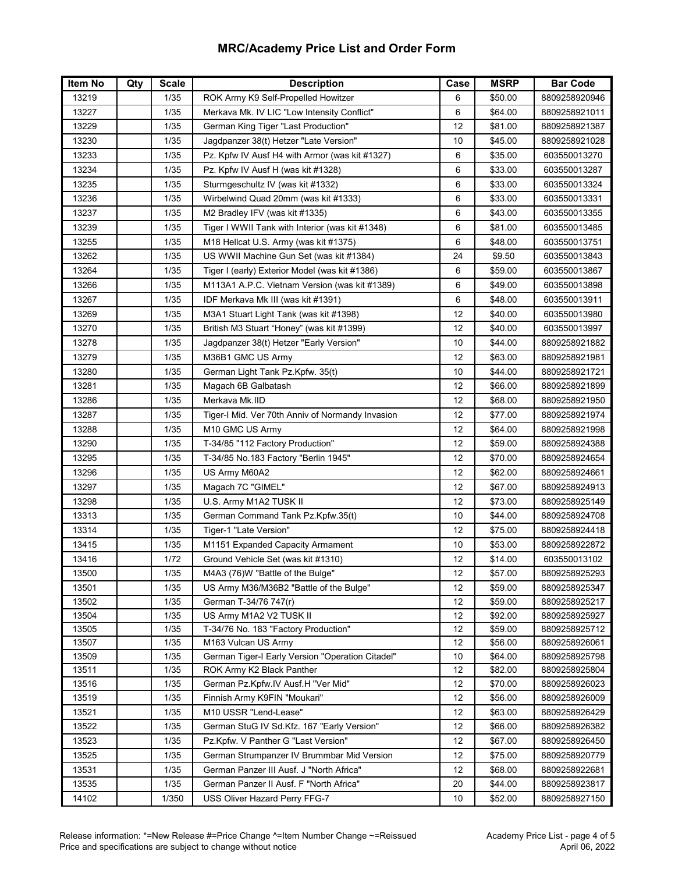| Item No        | Qty | <b>Scale</b> | <b>Description</b>                               | Case     | <b>MSRP</b>        | <b>Bar Code</b>                |
|----------------|-----|--------------|--------------------------------------------------|----------|--------------------|--------------------------------|
| 13219          |     | 1/35         | ROK Army K9 Self-Propelled Howitzer              | 6        | \$50.00            | 8809258920946                  |
| 13227          |     | $1/35$       | Merkava Mk. IV LIC "Low Intensity Conflict"      | 6        | \$64.00            | 8809258921011                  |
| 13229          |     | 1/35         | German King Tiger "Last Production"              | 12       | \$81.00            | 8809258921387                  |
| 13230          |     | 1/35         | Jagdpanzer 38(t) Hetzer "Late Version"           | 10       | \$45.00            | 8809258921028                  |
| 13233          |     | 1/35         | Pz. Kpfw IV Ausf H4 with Armor (was kit #1327)   | 6        | \$35.00            | 603550013270                   |
| 13234          |     | 1/35         | Pz. Kpfw IV Ausf H (was kit #1328)               | 6        | \$33.00            | 603550013287                   |
| 13235          |     | 1/35         | Sturmgeschultz IV (was kit #1332)                | 6        | \$33.00            | 603550013324                   |
| 13236          |     | 1/35         | Wirbelwind Quad 20mm (was kit #1333)             | 6        | \$33.00            | 603550013331                   |
| 13237          |     | 1/35         | M2 Bradley IFV (was kit #1335)                   | 6        | \$43.00            | 603550013355                   |
| 13239          |     | 1/35         | Tiger I WWII Tank with Interior (was kit #1348)  | 6        | \$81.00            | 603550013485                   |
| 13255          |     | 1/35         | M18 Hellcat U.S. Army (was kit #1375)            | 6        | \$48.00            | 603550013751                   |
| 13262          |     | 1/35         | US WWII Machine Gun Set (was kit #1384)          | 24       | \$9.50             | 603550013843                   |
| 13264          |     | 1/35         | Tiger I (early) Exterior Model (was kit #1386)   | 6        | \$59.00            | 603550013867                   |
| 13266          |     | 1/35         | M113A1 A.P.C. Vietnam Version (was kit #1389)    | 6        | \$49.00            | 603550013898                   |
| 13267          |     | 1/35         | IDF Merkava Mk III (was kit #1391)               | 6        | \$48.00            | 603550013911                   |
| 13269          |     | 1/35         | M3A1 Stuart Light Tank (was kit #1398)           | 12       | \$40.00            | 603550013980                   |
| 13270          |     | 1/35         | British M3 Stuart "Honey" (was kit #1399)        | 12       | \$40.00            | 603550013997                   |
| 13278          |     | 1/35         | Jagdpanzer 38(t) Hetzer "Early Version"          | 10       | \$44.00            | 8809258921882                  |
| 13279          |     | 1/35         | M36B1 GMC US Army                                | 12       | \$63.00            | 8809258921981                  |
| 13280          |     | 1/35         | German Light Tank Pz.Kpfw. 35(t)                 | 10       | \$44.00            | 8809258921721                  |
| 13281          |     | 1/35         | Magach 6B Galbatash                              | 12       | \$66.00            | 8809258921899                  |
| 13286          |     | 1/35         | Merkava Mk.IID                                   | 12       | \$68.00            | 8809258921950                  |
| 13287          |     | 1/35         | Tiger-I Mid. Ver 70th Anniv of Normandy Invasion | 12       | \$77.00            | 8809258921974                  |
| 13288          |     | 1/35         | M10 GMC US Army                                  | 12       | \$64.00            | 8809258921998                  |
| 13290          |     | 1/35         | T-34/85 "112 Factory Production"                 | 12       |                    | 8809258924388                  |
| 13295          |     | 1/35         | T-34/85 No.183 Factory "Berlin 1945"             | 12       | \$59.00<br>\$70.00 | 8809258924654                  |
| 13296          |     | 1/35         | US Army M60A2                                    | 12       | \$62.00            | 8809258924661                  |
| 13297          |     | 1/35         |                                                  | 12       |                    |                                |
|                |     |              | Magach 7C "GIMEL"                                | 12       | \$67.00            | 8809258924913                  |
| 13298          |     | 1/35         | U.S. Army M1A2 TUSK II                           |          | \$73.00            | 8809258925149                  |
| 13313          |     | 1/35         | German Command Tank Pz.Kpfw.35(t)                | 10       | \$44.00            | 8809258924708                  |
| 13314          |     | 1/35         | Tiger-1 "Late Version"                           | 12       | \$75.00            | 8809258924418                  |
| 13415          |     | 1/35         | M1151 Expanded Capacity Armament                 | 10       | \$53.00            | 8809258922872                  |
| 13416          |     | 1/72         | Ground Vehicle Set (was kit #1310)               | 12       | \$14.00            | 603550013102                   |
| 13500          |     | 1/35         | M4A3 (76)W "Battle of the Bulge"                 | 12       | \$57.00            | 8809258925293                  |
| 13501          |     | 1/35         | US Army M36/M36B2 "Battle of the Bulge"          | 12       | \$59.00            | 8809258925347                  |
| 13502          |     | 1/35         | German T-34/76 747(r)<br>US Army M1A2 V2 TUSK II | 12       | \$59.00            | 8809258925217                  |
| 13504<br>13505 |     | 1/35<br>1/35 | T-34/76 No. 183 "Factory Production"             | 12<br>12 | \$92.00<br>\$59.00 | 8809258925927<br>8809258925712 |
| 13507          |     | 1/35         | M163 Vulcan US Army                              | 12       | \$56.00            | 8809258926061                  |
| 13509          |     | 1/35         | German Tiger-I Early Version "Operation Citadel" | 10       | \$64.00            | 8809258925798                  |
| 13511          |     | 1/35         | ROK Army K2 Black Panther                        | 12       | \$82.00            | 8809258925804                  |
| 13516          |     | 1/35         | German Pz.Kpfw.IV Ausf.H "Ver Mid"               | 12       | \$70.00            | 8809258926023                  |
| 13519          |     | 1/35         | Finnish Army K9FIN "Moukari"                     | 12       | \$56.00            | 8809258926009                  |
| 13521          |     | 1/35         | M10 USSR "Lend-Lease"                            | 12       | \$63.00            | 8809258926429                  |
| 13522          |     | 1/35         | German StuG IV Sd.Kfz. 167 "Early Version"       | 12       | \$66.00            | 8809258926382                  |
| 13523          |     | 1/35         | Pz.Kpfw. V Panther G "Last Version"              | 12       | \$67.00            | 8809258926450                  |
| 13525          |     | 1/35         | German Strumpanzer IV Brummbar Mid Version       | 12       | \$75.00            | 8809258920779                  |
| 13531          |     | 1/35         | German Panzer III Ausf. J "North Africa"         | 12       | \$68.00            | 8809258922681                  |
| 13535          |     | 1/35         | German Panzer II Ausf. F "North Africa"          | 20       | \$44.00            | 8809258923817                  |
| 14102          |     | 1/350        | USS Oliver Hazard Perry FFG-7                    | 10       | \$52.00            | 8809258927150                  |
|                |     |              |                                                  |          |                    |                                |